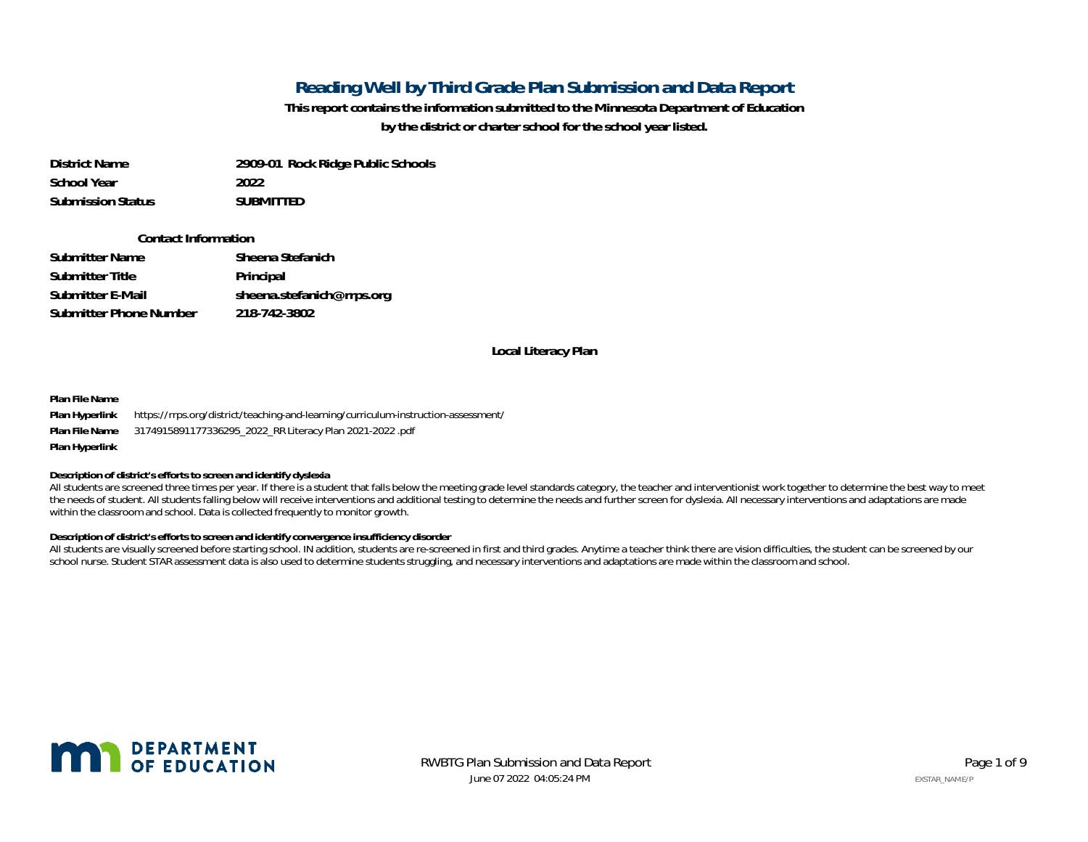## **Reading Well by Third Grade Plan Submission and Data Report**

**This report contains the information submitted to the Minnesota Department of Education by the district or charter school for the school year listed.**

**District Name 2909-01 Rock Ridge Public Schools School Year 2022Submission StatusSUBMITTED**

#### **Contact Information**

| Submitter Name         | Sheena Stefanich          |
|------------------------|---------------------------|
| Submitter Title        | Principal                 |
| Submitter E-Mail       | sheena.stefanich@rrps.org |
| Submitter Phone Number | 218-742-3802              |

#### **Local Literacy Plan**

**Plan File Name**

**Plan Hyperlink** https://rrps.org/district/teaching-and-learning/curriculum-instruction-assessment/ **Plan File Name** 3174915891177336295\_2022\_RR Literacy Plan 2021-2022 .pdf **Plan Hyperlink**

**Description of district's efforts to screen and identify dyslexia**

All students are screened three times per year. If there is a student that falls below the meeting grade level standards category, the teacher and interventionist work together to determine the best way to meet the needs of student. All students falling below will receive interventions and additional testing to determine the needs and further screen for dyslexia. All necessary interventions and adaptations are made within the classroom and school. Data is collected frequently to monitor growth.

**Description of district's efforts to screen and identify convergence insufficiency disorder**

All students are visually screened before starting school. IN addition, students are re-screened in first and third grades. Anytime a teacher think there are vision difficulties, the student can be screened by our school nurse. Student STAR assessment data is also used to determine students struggling, and necessary interventions and adaptations are made within the classroom and school.



June 07 2022 04:05:24 PMRWBTG Plan Submission and Data Report **Page 1 of 9** and Page 1 of 9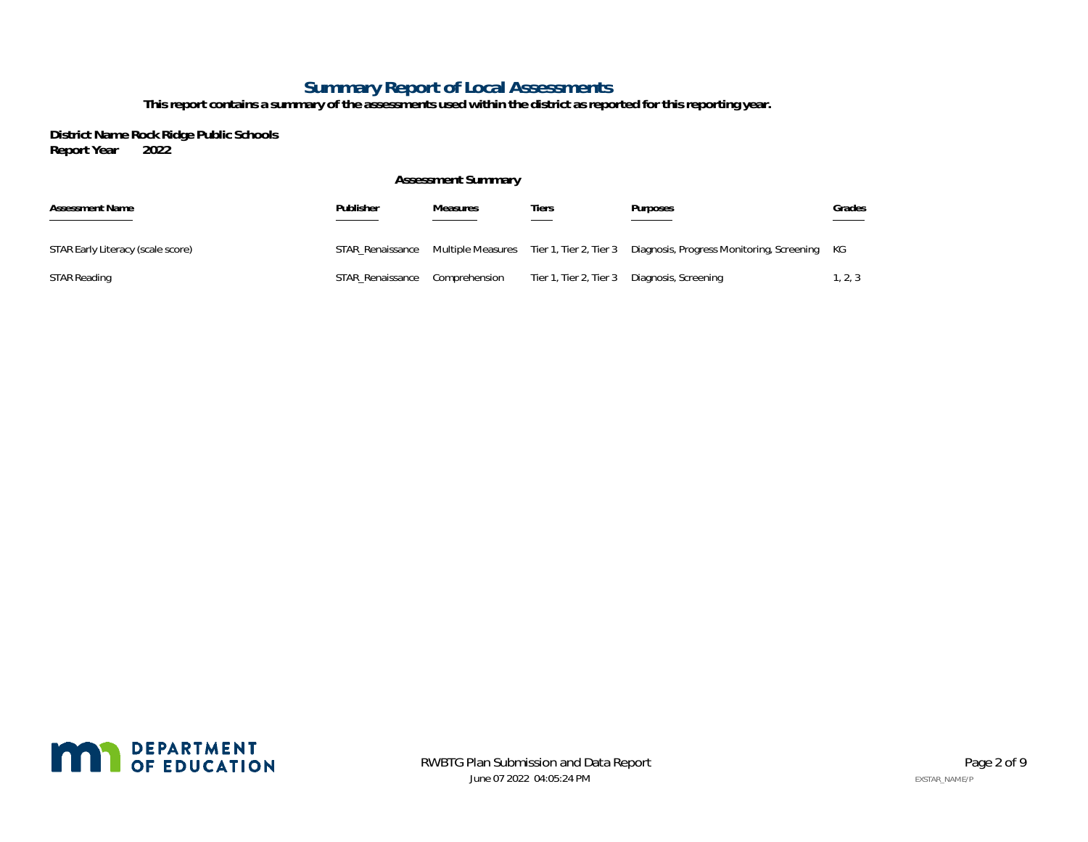## **Summary Report of Local Assessments**

**This report contains a summary of the assessments used within the district as reported for this reporting year.**

**District Name Rock Ridge Public Schools Report Year** 

#### **Assessment Summary**

| <b>Assessment Name</b>            | Publisher        | <b>Measures</b> | Tiers                  | Purposes                                                                                               | Grades  |
|-----------------------------------|------------------|-----------------|------------------------|--------------------------------------------------------------------------------------------------------|---------|
| STAR Early Literacy (scale score) |                  |                 |                        | STAR Renaissance Multiple Measures Tier 1, Tier 2, Tier 3 Diagnosis, Progress Monitoring, Screening KG |         |
| STAR Reading                      | STAR Renaissance | Comprehension   | Tier 1, Tier 2, Tier 3 | Diagnosis, Screening                                                                                   | 1, 2, 3 |

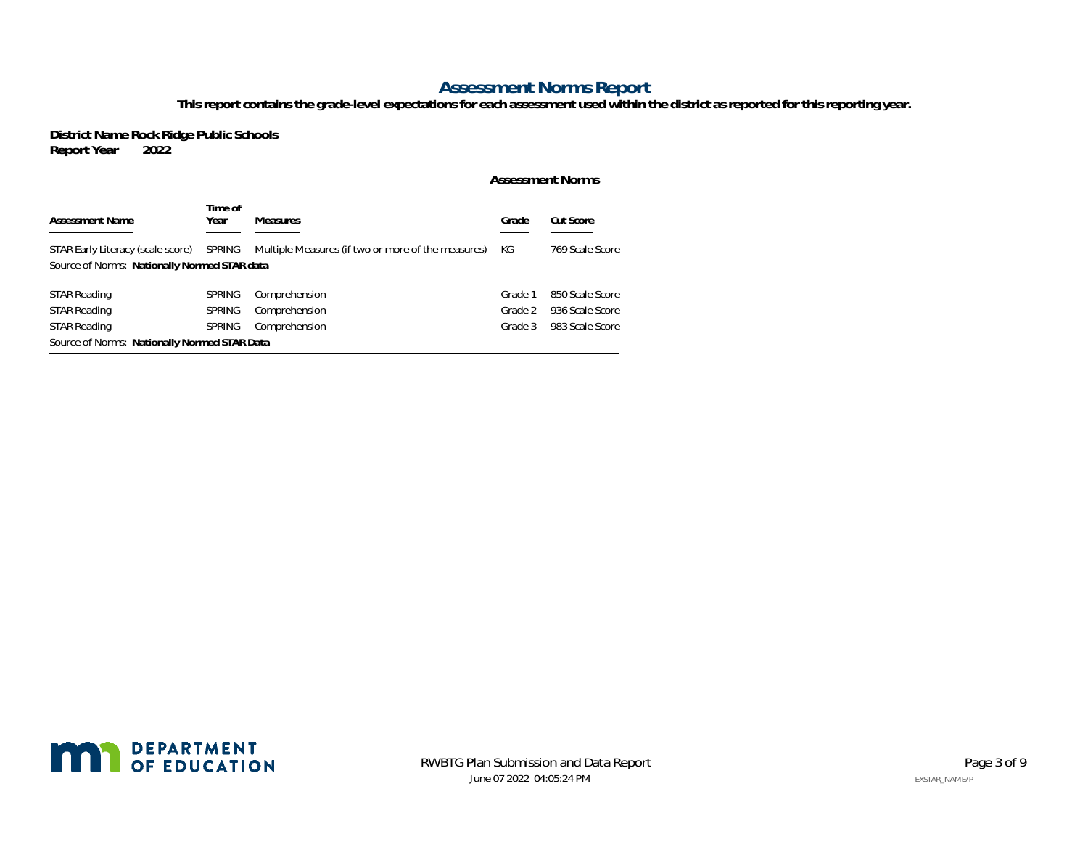## **Assessment Norms Report**

**This report contains the grade-level expectations for each assessment used within the district as reported for this reporting year.**

**District Name Rock Ridge Public Schools Report Year** 

#### **Assessment Norms**

| <b>Assessment Name</b>                                                            | Time of<br>Year | <b>Measures</b> | Grade   | Cut Score       |  |  |  |  |  |  |
|-----------------------------------------------------------------------------------|-----------------|-----------------|---------|-----------------|--|--|--|--|--|--|
| STAR Early Literacy (scale score)<br>Source of Norms: Nationally Normed STAR data | КG              | 769 Scale Score |         |                 |  |  |  |  |  |  |
| STAR Reading                                                                      | <b>SPRING</b>   | Comprehension   | Grade 1 | 850 Scale Score |  |  |  |  |  |  |
| <b>STAR Reading</b>                                                               | <b>SPRING</b>   | Comprehension   | Grade 2 | 936 Scale Score |  |  |  |  |  |  |
| <b>STAR Reading</b>                                                               | <b>SPRING</b>   | Comprehension   | Grade 3 | 983 Scale Score |  |  |  |  |  |  |
| Source of Norms: Nationally Normed STAR Data                                      |                 |                 |         |                 |  |  |  |  |  |  |

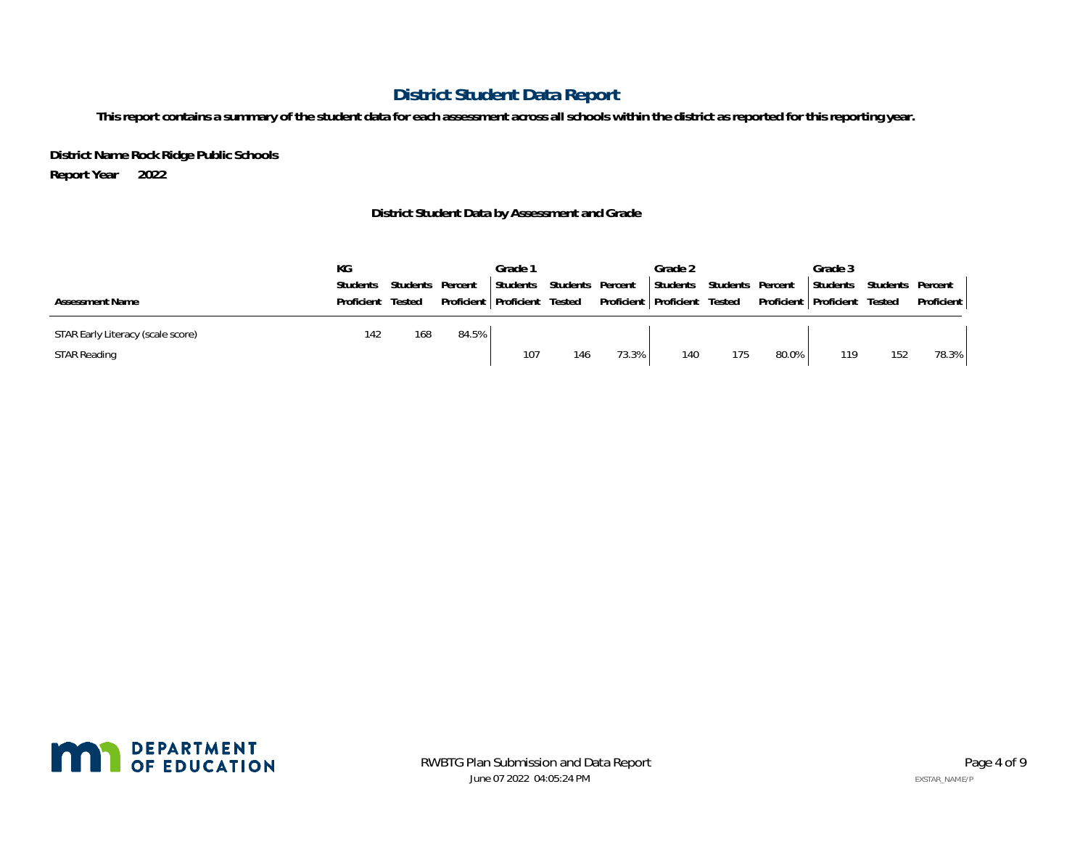# **District Student Data Report**

**This report contains a summary of the student data for each assessment across all schools within the district as reported for this reporting year.**

**District Name Rock Ridge Public Schools Report Year 2022**

## **District Student Data by Assessment and Grade**

|                                   | КG         |          |         | Grade 1                        |          |         | Grade 2                        |                  |                                | Grade 3  |          |            |
|-----------------------------------|------------|----------|---------|--------------------------------|----------|---------|--------------------------------|------------------|--------------------------------|----------|----------|------------|
|                                   | Students   | Students | Percent | Students                       | Students | Percent | Students                       | Students Percent |                                | Students | Students | Percent    |
| <b>Assessment Name</b>            | Proficient | Tested   |         | Proficient   Proficient Tested |          |         | Proficient   Proficient Tested |                  | Proficient   Proficient Tested |          |          | Proficient |
| STAR Early Literacy (scale score) | 142        | 168      | 84.5%   |                                |          |         |                                |                  |                                |          |          |            |
| <b>STAR Reading</b>               |            |          |         | 107                            | 146      | 73.3%   | 140                            | 175              | 80.0%                          | 119      | 152      | 78.3%      |

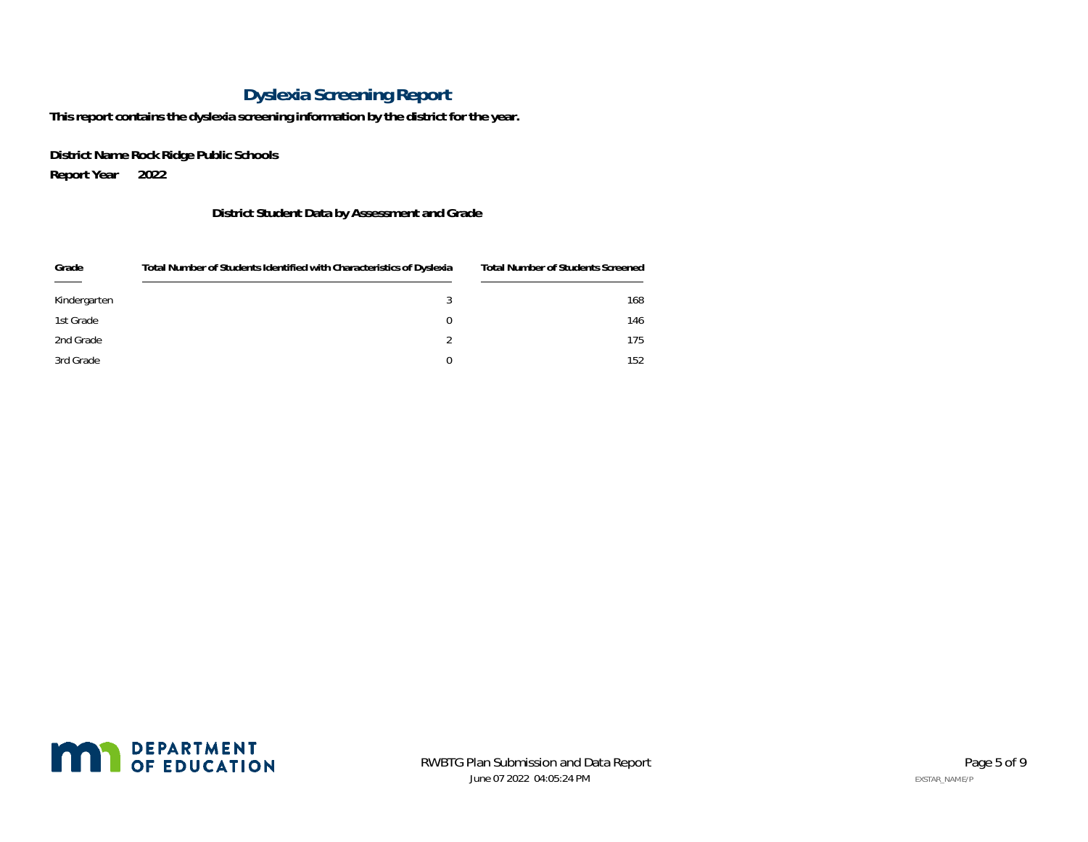# **Dyslexia Screening Report**

**This report contains the dyslexia screening information by the district for the year.**

**District Name Rock Ridge Public Schools Report Year 2022**

## **District Student Data by Assessment and Grade**

| Grade        | Total Number of Students Identified with Characteristics of Dyslexia | Total Number of Students Screened |
|--------------|----------------------------------------------------------------------|-----------------------------------|
| Kindergarten |                                                                      | 168                               |
| 1st Grade    | 0                                                                    | 146                               |
| 2nd Grade    |                                                                      | 175                               |
| 3rd Grade    |                                                                      | 152                               |

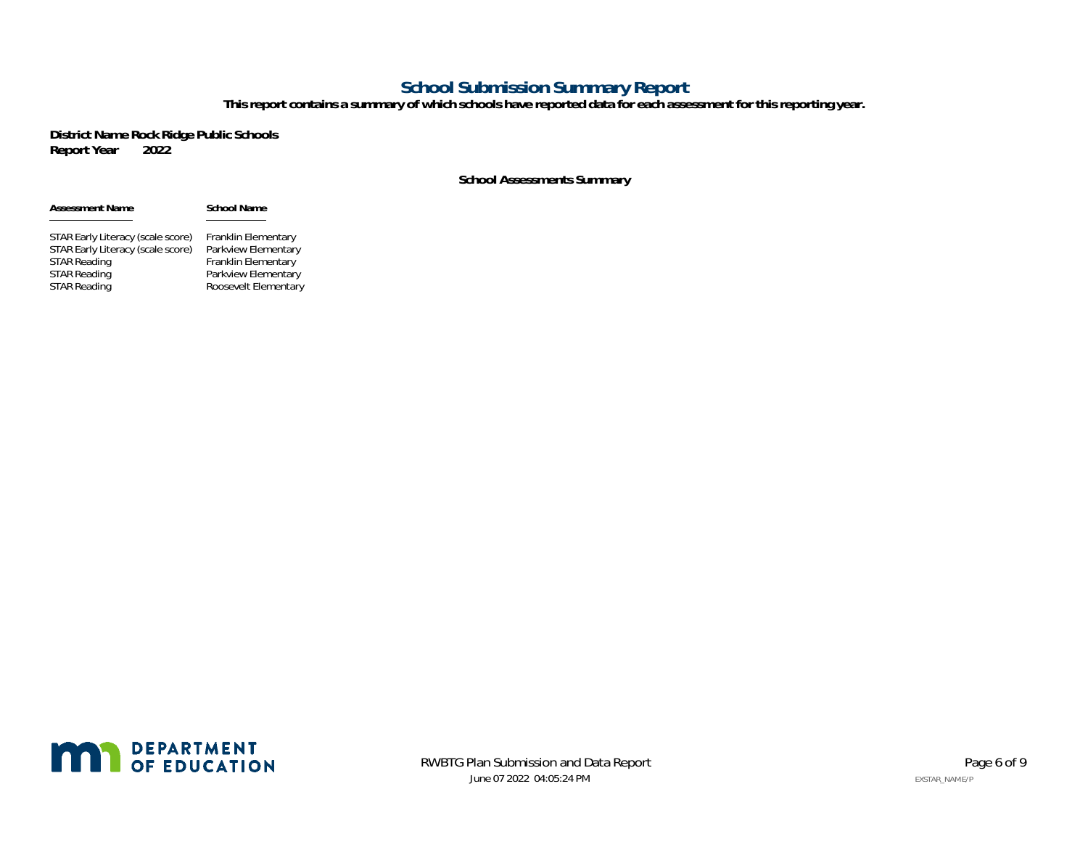## **School Submission Summary Report**

**This report contains a summary of which schools have reported data for each assessment for this reporting year.**

**District Name Rock Ridge Public Schools Report Year** 

### **School Assessments Summary**

| <b>Assessment Name</b>            | <b>School Name</b>         |
|-----------------------------------|----------------------------|
| STAR Early Literacy (scale score) | Franklin Elementary        |
| STAR Early Literacy (scale score) | Parkview Elementary        |
| <b>STAR Reading</b>               | <b>Franklin Elementary</b> |
| <b>STAR Reading</b>               | Parkview Elementary        |
| <b>STAR Reading</b>               | Roosevelt Elementary       |

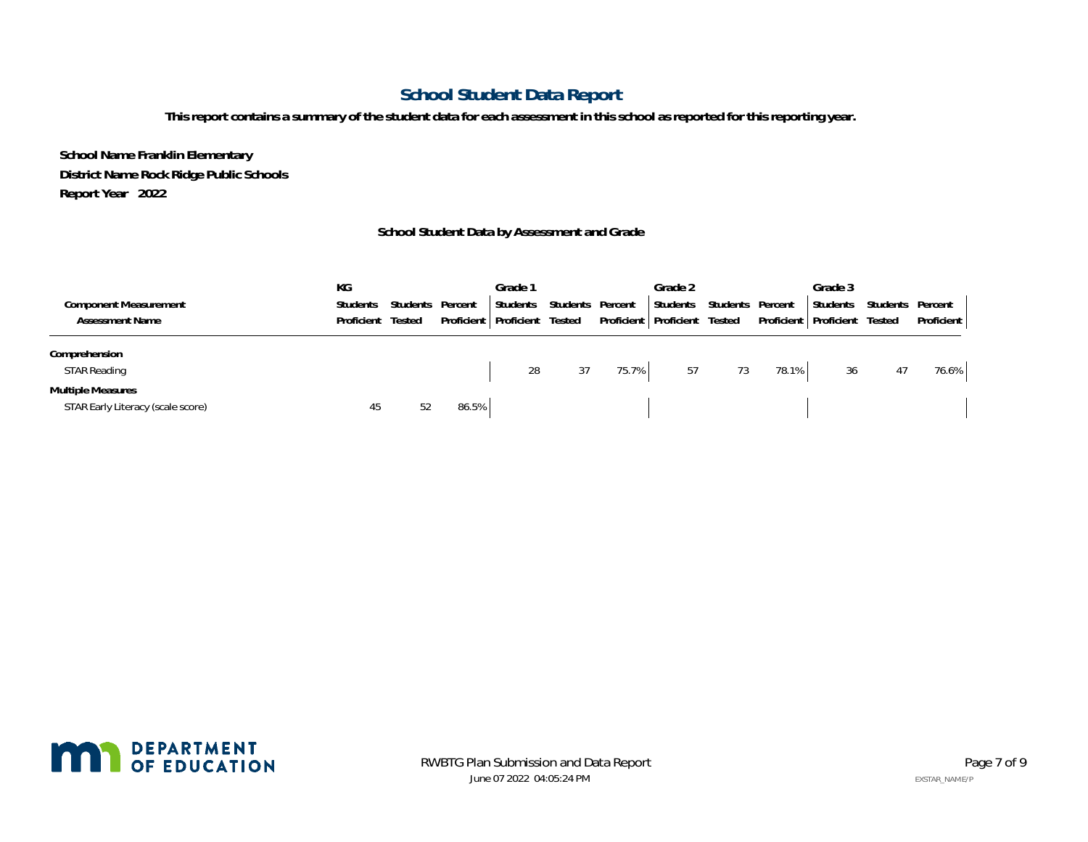# **School Student Data Report**

**This report contains a summary of the student data for each assessment in this school as reported for this reporting year.**

**School Name Franklin Elementary District Name Rock Ridge Public Schools Report Year 2022**

### **School Student Data by Assessment and Grade**

|                                   | КG              |          |            | Grade 1    |          |         | Grade 2                 |          |         | Grade 3                        |          |            |
|-----------------------------------|-----------------|----------|------------|------------|----------|---------|-------------------------|----------|---------|--------------------------------|----------|------------|
| <b>Component Measurement</b>      | <b>Students</b> | Students | Percent    | Students   | Students | Percent | Students                | Students | Percent | Students                       | Students | Percent    |
| <b>Assessment Name</b>            | Proficient      | Tested   | Proficient | Proficient | Tested   |         | Proficient   Proficient | Tested   |         | Proficient   Proficient Tested |          | Proficient |
| Comprehension                     |                 |          |            |            |          |         |                         |          |         |                                |          |            |
| <b>STAR Reading</b>               |                 |          |            | 28         | 37       | 75.7%   | 57                      | 73       | 78.1%   | 36                             | 47       | 76.6%      |
| <b>Multiple Measures</b>          |                 |          |            |            |          |         |                         |          |         |                                |          |            |
| STAR Early Literacy (scale score) | 45              | 52       | 86.5%      |            |          |         |                         |          |         |                                |          |            |

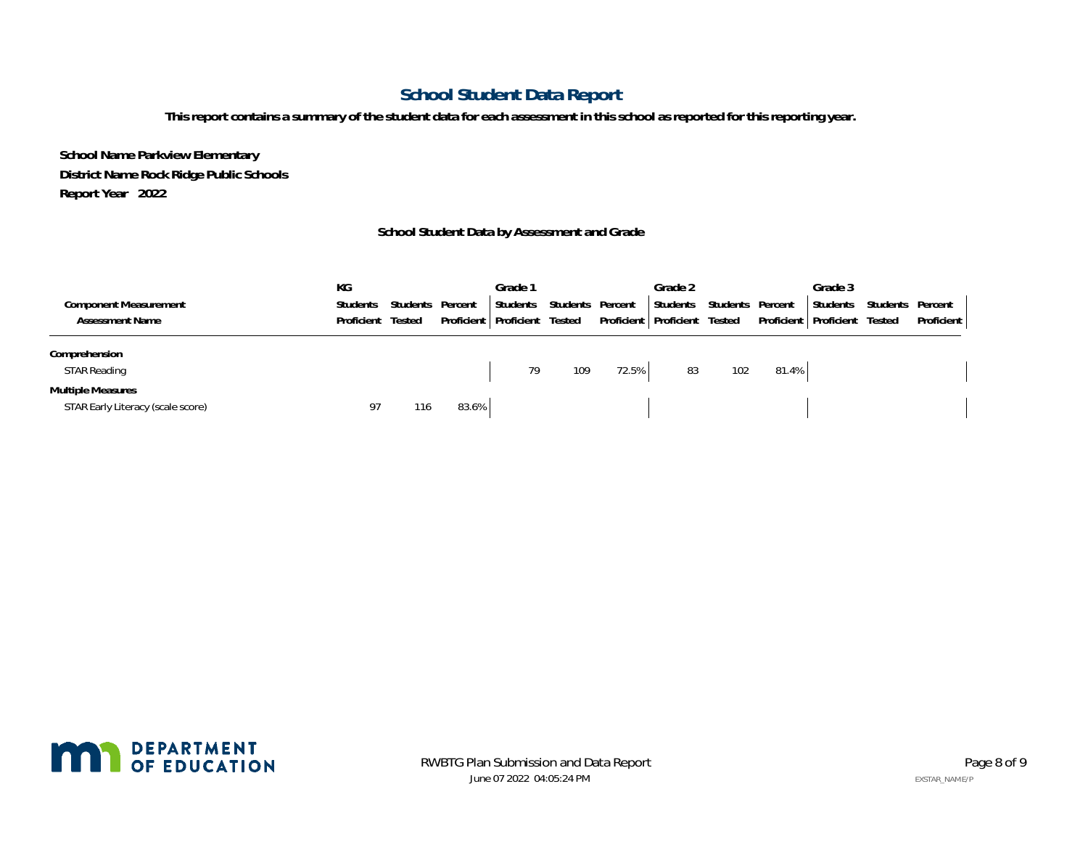# **School Student Data Report**

**This report contains a summary of the student data for each assessment in this school as reported for this reporting year.**

**School Name Parkview Elementary District Name Rock Ridge Public Schools Report Year 2022**

### **School Student Data by Assessment and Grade**

|                                   | КG              |          |         | Grade 1                 |          |         | Grade 2                        |          |         | Grade 3                 |          |            |
|-----------------------------------|-----------------|----------|---------|-------------------------|----------|---------|--------------------------------|----------|---------|-------------------------|----------|------------|
| <b>Component Measurement</b>      | <b>Students</b> | Students | Percent | Students                | Students | Percent | Students                       | Students | Percent | Students                | Students | Percent    |
| <b>Assessment Name</b>            | Proficient      | Tested   |         | Proficient   Proficient | Tested   |         | Proficient   Proficient Tested |          |         | Proficient   Proficient | Tested   | Proficient |
| Comprehension                     |                 |          |         |                         |          |         |                                |          |         |                         |          |            |
| <b>STAR Reading</b>               |                 |          |         | 79                      | 109      | 72.5%   | 83                             | 102      | 81.4%   |                         |          |            |
| <b>Multiple Measures</b>          |                 |          |         |                         |          |         |                                |          |         |                         |          |            |
| STAR Early Literacy (scale score) | 97              | 116      | 83.6%   |                         |          |         |                                |          |         |                         |          |            |